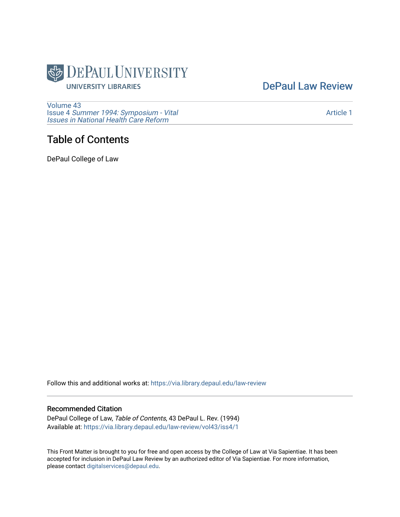

[DePaul Law Review](https://via.library.depaul.edu/law-review) 

[Volume 43](https://via.library.depaul.edu/law-review/vol43) Issue 4 [Summer 1994: Symposium - Vital](https://via.library.depaul.edu/law-review/vol43/iss4) [Issues in National Health Care Reform](https://via.library.depaul.edu/law-review/vol43/iss4) 

## Table of Contents

DePaul College of Law

Follow this and additional works at: [https://via.library.depaul.edu/law-review](https://via.library.depaul.edu/law-review?utm_source=via.library.depaul.edu%2Flaw-review%2Fvol43%2Fiss4%2F1&utm_medium=PDF&utm_campaign=PDFCoverPages) 

## Recommended Citation

DePaul College of Law, Table of Contents, 43 DePaul L. Rev. (1994) Available at: [https://via.library.depaul.edu/law-review/vol43/iss4/1](https://via.library.depaul.edu/law-review/vol43/iss4/1?utm_source=via.library.depaul.edu%2Flaw-review%2Fvol43%2Fiss4%2F1&utm_medium=PDF&utm_campaign=PDFCoverPages) 

This Front Matter is brought to you for free and open access by the College of Law at Via Sapientiae. It has been accepted for inclusion in DePaul Law Review by an authorized editor of Via Sapientiae. For more information, please contact [digitalservices@depaul.edu.](mailto:digitalservices@depaul.edu)

### [Article 1](https://via.library.depaul.edu/law-review/vol43/iss4/1)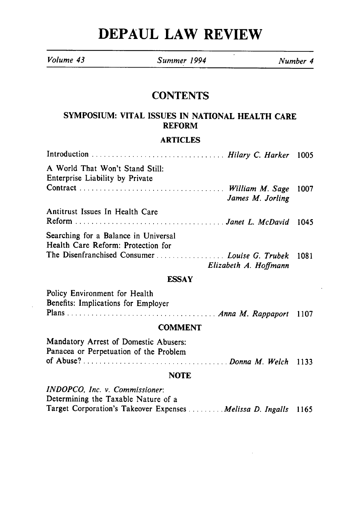# **DEPAUL LAW REVIEW**

volume 43 Summer 1994 Number 4

## **CONTENTS**

## **SYMPOSIUM:** VITAL **ISSUES** IN **NATIONAL** HEALTH CARE **REFORM**

#### ARTICLES

| A World That Won't Stand Still:<br>Enterprise Liability by Private         |                       |      |
|----------------------------------------------------------------------------|-----------------------|------|
|                                                                            | James M. Jorling      |      |
| Antitrust Issues In Health Care                                            |                       | 1045 |
| Searching for a Balance in Universal<br>Health Care Reform: Protection for |                       |      |
|                                                                            | Elizabeth A. Hoffmann |      |

#### **ESSAY**

| Policy Environment for Health       |  |
|-------------------------------------|--|
| Benefits: Implications for Employer |  |
|                                     |  |

#### **COMMENT**

| Mandatory Arrest of Domestic Abusers:  |  |
|----------------------------------------|--|
| Panacea or Perpetuation of the Problem |  |
|                                        |  |

#### **NOTE**

*INDOPCO, Inc.* v. *Commissioner:* Determining the Taxable Nature of a Target Corporation's Takeover Expenses .... **.....** *Melissa D. Ingalls* 1165